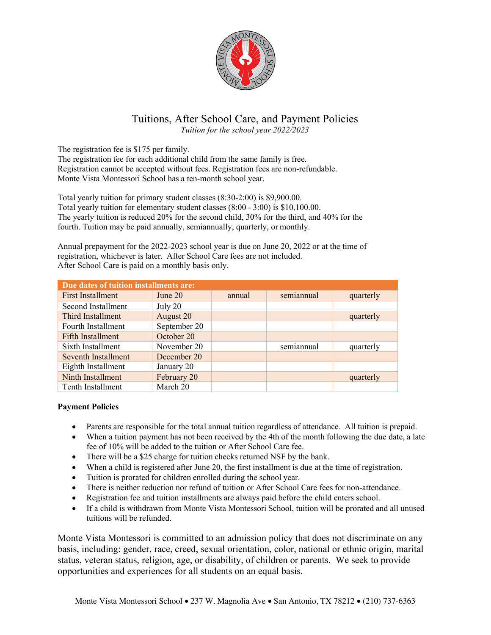

## Tuitions, After School Care, and Payment Policies

*Tuition for the school year 2022/2023*

The registration fee is \$175 per family.

The registration fee for each additional child from the same family is free. Registration cannot be accepted without fees. Registration fees are non-refundable. Monte Vista Montessori School has a ten-month school year.

Total yearly tuition for primary student classes (8:30-2:00) is \$9,900.00. Total yearly tuition for elementary student classes (8:00 - 3:00) is \$10,100.00. The yearly tuition is reduced 20% for the second child, 30% for the third, and 40% for the fourth. Tuition may be paid annually, semiannually, quarterly, or monthly.

Annual prepayment for the 2022-2023 school year is due on June 20, 2022 or at the time of registration, whichever is later. After School Care fees are not included. After School Care is paid on a monthly basis only.

| Due dates of tuition installments are: |              |        |            |           |  |
|----------------------------------------|--------------|--------|------------|-----------|--|
| <b>First Installment</b>               | June $20$    | annual | semiannual | quarterly |  |
| Second Installment                     | July 20      |        |            |           |  |
| Third Installment                      | August 20    |        |            | quarterly |  |
| Fourth Installment                     | September 20 |        |            |           |  |
| <b>Fifth Installment</b>               | October 20   |        |            |           |  |
| Sixth Installment                      | November 20  |        | semiannual | quarterly |  |
| Seventh Installment                    | December 20  |        |            |           |  |
| Eighth Installment                     | January 20   |        |            |           |  |
| Ninth Installment                      | February 20  |        |            | quarterly |  |
| Tenth Installment                      | March 20     |        |            |           |  |

## **Payment Policies**

- Parents are responsible for the total annual tuition regardless of attendance. All tuition is prepaid.
- When a tuition payment has not been received by the 4th of the month following the due date, a late fee of 10% will be added to the tuition or After School Care fee.
- There will be a \$25 charge for tuition checks returned NSF by the bank.
- When a child is registered after June 20, the first installment is due at the time of registration.
- Tuition is prorated for children enrolled during the school year.
- There is neither reduction nor refund of tuition or After School Care fees for non-attendance.
- Registration fee and tuition installments are always paid before the child enters school.
- If a child is withdrawn from Monte Vista Montessori School, tuition will be prorated and all unused tuitions will be refunded.

Monte Vista Montessori is committed to an admission policy that does not discriminate on any basis, including: gender, race, creed, sexual orientation, color, national or ethnic origin, marital status, veteran status, religion, age, or disability, of children or parents. We seek to provide opportunities and experiences for all students on an equal basis.